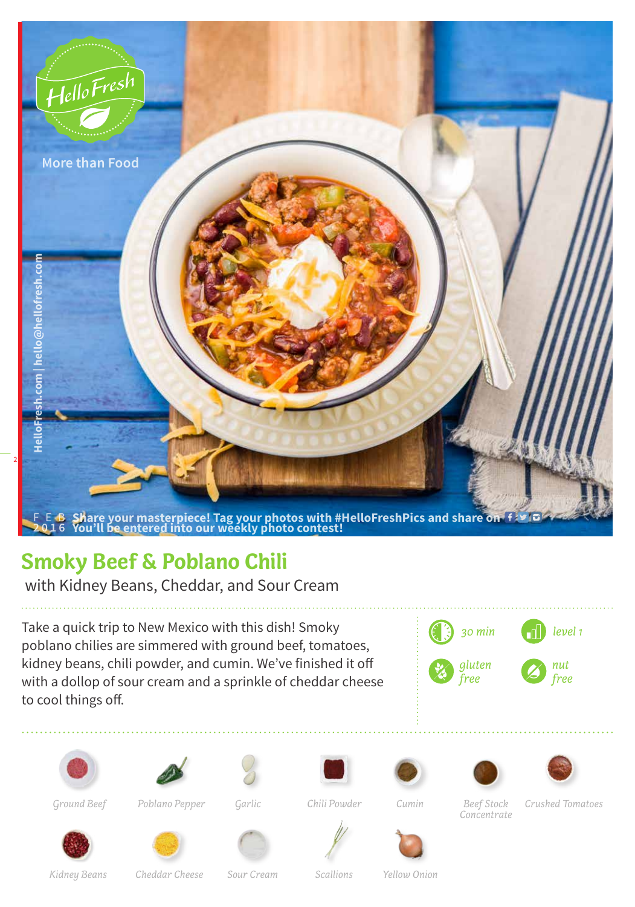

## **Smoky Beef & Poblano Chili**

with Kidney Beans, Cheddar, and Sour Cream

Take a quick trip to New Mexico with this dish! Smoky poblano chilies are simmered with ground beef, tomatoes, kidney beans, chili powder, and cumin. We've finished it off with a dollop of sour cream and a sprinkle of cheddar cheese to cool things off.



















*Poblano Pepper Ground Beef Garlic Cumin Beef Stock*

*Chili Powder*

*Concentrate*



*Kidney Beans*









*Crushed Tomatoes*

*Cheddar Cheese Sour Cream Scallions Yellow Onion*